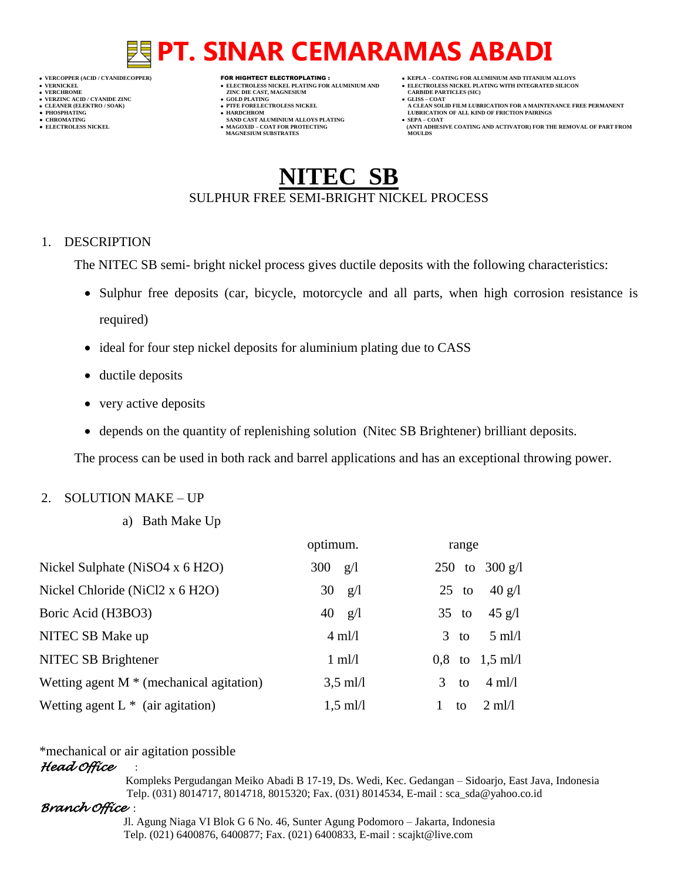- 
- 

- **VERT ASSESSED ZINC DIE CAST, MAGNESIUM CARBIDE PARTING (SOLD PLATING CARBIDE PARTICLES)**
- **VERZINC ACID / CYANIDE ZINC GOLD PLATING GLISS – COAT**
	-
- **● CHROMATING SAND CAST ALUMINIUM ALLOYS PLATING SEPA – COAT MAGNESIUM SUBSTRATES MOULDS**
- **VERCOPPER (ACID / CYANIDECOPPER)** FOR HIGHTECT ELECTROPLATING :  **KEPLA – COATING FOR ALUMINIUM AND TITANIUM ALLOYS**
- **VERNICKEL ELECTROLESS NICKEL PLATING FOR ALUMINIUM AND ELECTROLESS NICKEL PLATING WITH INTEGRATED SILICON**
	-
- **CLEANER (ELEKTRO / SOAK) PTFE FORELECTROLESS NICKEL A CLEAN SOLID FILM LUBRICATION FOR A MAINTENANCE FREE PERMANENT ● PHOSPHATING HARDCHROM LUBRICATION OF ALL KIND OF FRICTION PAIRINGS**
- **● ELECTROLESS NICKEL MAGOXID – COAT FOR PROTECTING (ANTI ADHESIVE COATING AND ACTIVATOR) FOR THE REMOVAL OF PART FROM**

# NEC SB SULPHUR FREE SEMI-BRIGHT NICKEL PROCESS

## 1. DESCRIPTION

The NITEC SB semi- bright nickel process gives ductile deposits with the following characteristics:

- Sulphur free deposits (car, bicycle, motorcycle and all parts, when high corrosion resistance is required)
- ideal for four step nickel deposits for aluminium plating due to CASS
- ductile deposits
- very active deposits
- depends on the quantity of replenishing solution (Nitec SB Brightener) brilliant deposits.

The process can be used in both rack and barrel applications and has an exceptional throwing power.

# 2. SOLUTION MAKE – UP

a) Bath Make Up

|                                            | optimum.           | range                              |
|--------------------------------------------|--------------------|------------------------------------|
| Nickel Sulphate (NiSO4 x 6 H2O)            | 300<br>g/l         | 250 to $300 \text{ g/l}$           |
| Nickel Chloride (NiCl2 x 6 H2O)            | 30<br>g/l          | $40 \text{ g}/\text{l}$<br>$25$ to |
| Boric Acid (H3BO3)                         | $40 \text{ g/l}$   | $45 \text{ g}/\text{l}$<br>$35$ to |
| NITEC SB Make up                           | $4 \text{ ml}/1$   | $5 \text{ ml/l}$<br>$3$ to         |
| NITEC SB Brightener                        | $1 \text{ ml}/1$   | $0.8$ to $1.5$ ml/l                |
| Wetting agent $M^*$ (mechanical agitation) | $3.5$ ml/l         | $4 \text{ ml}/1$<br>3<br>to        |
| Wetting agent $L^*$ (air agitation)        | $1,5 \text{ ml}/1$ | $2 \text{ ml/l}$<br>to             |

# \*mechanical or air agitation possible

## *Head Office* :

 Kompleks Pergudangan Meiko Abadi B 17-19, Ds. Wedi, Kec. Gedangan – Sidoarjo, East Java, Indonesia Telp. (031) 8014717, 8014718, 8015320; Fax. (031) 8014534, E-mail : sca\_sda@yahoo.co.id

# *Branch Office* :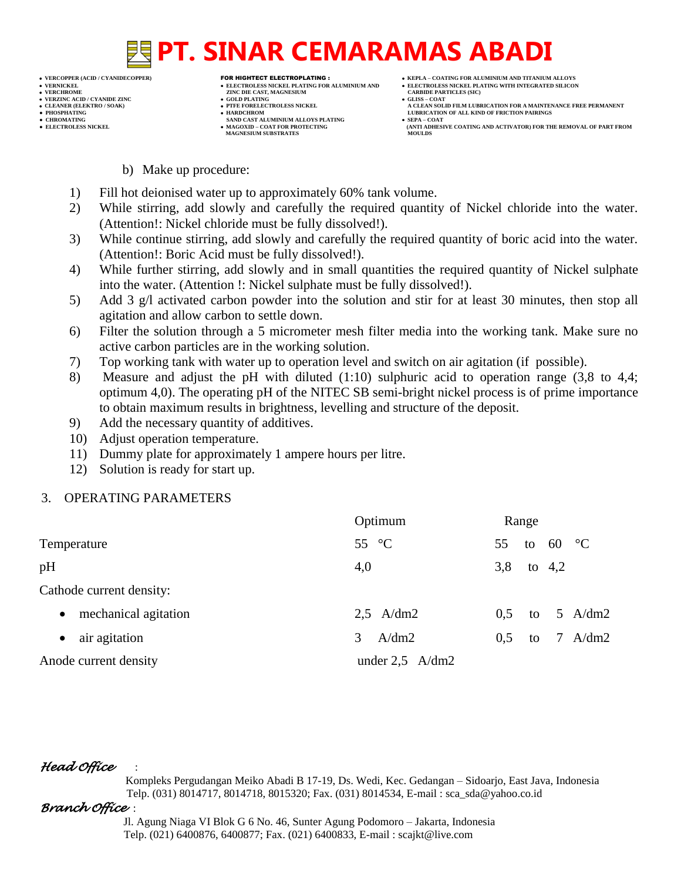- 
- 
- 

- 
- 

- **VERT AND AGNESIUM CARBIDE PARTICLES (SILISS = COLD PLATING)**
- **VERZINC ACID / CYANIDE ZINC GOLD PLATING GLISS – COAT**
	-
- **● CHROMATING SAND CAST ALUMINIUM ALLOYS PLATING SEPA – COAT MAGNESIUM SUBSTRATES**
- **VERCOPPER (ACID / CYANIDECOPPER)** FOR HIGHTECT ELECTROPLATING :  **KEPLA – COATING FOR ALUMINIUM AND TITANIUM ALLOYS**
- **VERNICKEL ELECTROLESS NICKEL PLATING FOR ALUMINIUM AND ELECTROLESS NICKEL PLATING WITH INTEGRATED SILICON**
	-
- CLEANER (ELEKTRO / SOAK)<br>● CLEANER (ELEKTRO / SOAK)<br>● PHOSPHATING<br>● HOSPHATING **● PHOSPHATING HARDCHROM LUBRICATION OF ALL KIND OF FRICTION PAIRINGS** 
	- **ELECTROLESS AND ACTIVATOR) FOR THE REMOVAL OF PART FROM MOULDS**

- b) Make up procedure:
- 1) Fill hot deionised water up to approximately 60% tank volume.
- 2) While stirring, add slowly and carefully the required quantity of Nickel chloride into the water. (Attention!: Nickel chloride must be fully dissolved!).
- 3) While continue stirring, add slowly and carefully the required quantity of boric acid into the water. (Attention!: Boric Acid must be fully dissolved!).
- 4) While further stirring, add slowly and in small quantities the required quantity of Nickel sulphate into the water. (Attention !: Nickel sulphate must be fully dissolved!).
- 5) Add 3 g/l activated carbon powder into the solution and stir for at least 30 minutes, then stop all agitation and allow carbon to settle down.
- 6) Filter the solution through a 5 micrometer mesh filter media into the working tank. Make sure no active carbon particles are in the working solution.
- 7) Top working tank with water up to operation level and switch on air agitation (if possible).
- 8) Measure and adjust the pH with diluted (1:10) sulphuric acid to operation range (3,8 to 4,4; optimum 4,0). The operating pH of the NITEC SB semi-bright nickel process is of prime importance to obtain maximum results in brightness, levelling and structure of the deposit.
- 9) Add the necessary quantity of additives.
- 10) Adjust operation temperature.
- 11) Dummy plate for approximately 1 ampere hours per litre.
- 12) Solution is ready for start up.

# 3. OPERATING PARAMETERS

|                                   | Optimum           | Range |    |          |           |
|-----------------------------------|-------------------|-------|----|----------|-----------|
| Temperature                       | 55 $\degree$ C    | 55    | to | 60 °C    |           |
| pH                                | 4,0               | 3,8   |    | to $4,2$ |           |
| Cathode current density:          |                   |       |    |          |           |
| mechanical agitation<br>$\bullet$ | $2.5$ A/dm2       | 0.5   | to |          | 5 A/dm2   |
| air agitation<br>$\bullet$        | 3<br>A/dm2        | 0.5   | to |          | 7 $A/dm2$ |
| Anode current density             | under $2,5$ A/dm2 |       |    |          |           |

# *Head Office* :

 Kompleks Pergudangan Meiko Abadi B 17-19, Ds. Wedi, Kec. Gedangan – Sidoarjo, East Java, Indonesia Telp. (031) 8014717, 8014718, 8015320; Fax. (031) 8014534, E-mail : sca\_sda@yahoo.co.id

# *Branch Office* :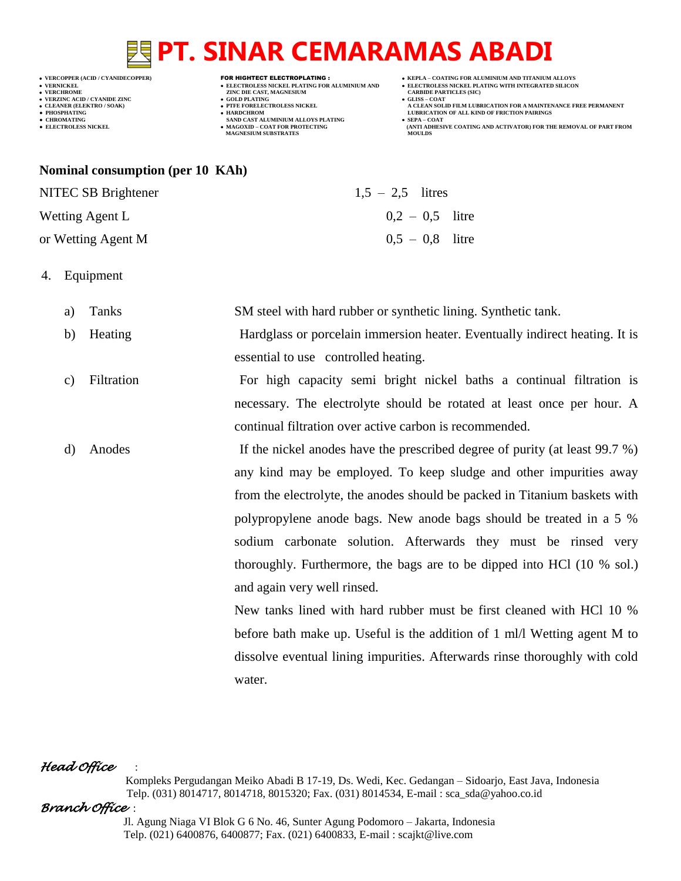# **VERZINC ACID / CYANIDE ZINC GOLD PLATING GLISS – COAT**

**VERT ASSESSED ZINC DIE CAST, MAGNESIUM CARBIDE PARTING (SOLD PLATING CARBIDE PARTICLES)** 

- 
- 
- **● CHROMATING SAND CAST ALUMINIUM ALLOYS PLATING SEPA – COAT MAGNESIUM SUBSTRATES MOULDS**
- **VERCOPPER (ACID / CYANIDECOPPER)** FOR HIGHTECT ELECTROPLATING :  **KEPLA – COATING FOR ALUMINIUM AND TITANIUM ALLOYS**
- **VERNICKEL ELECTROLESS NICKEL PLATING FOR ALUMINIUM AND ELECTROLESS NICKEL PLATING WITH INTEGRATED SILICON**
	-
- **A CLEAN SOLID FILM LUBRICATION FOR A MAINTENANCE FREE PERMANENT ● PHOSPHATING HARDCHROM LUBRICATION OF ALL KIND OF FRICTION PAIRINGS**
- **● ELECTROLESS NICKEL MAGOXID – COAT FOR PROTECTING (ANTI ADHESIVE COATING AND ACTIVATOR) FOR THE REMOVAL OF PART FROM**

### **Nominal consumption (per 10 KAh)**

NITEC SB Brightener  $1.5 - 2.5$  litres

Wetting Agent L  $0.2 - 0.5$  litre

or Wetting Agent M  $0.5 - 0.8$  litre

4. Equipment

a) Tanks SM steel with hard rubber or synthetic lining. Synthetic tank.

- b) Heating Hardglass or porcelain immersion heater. Eventually indirect heating. It is essential to use controlled heating.
- c) Filtration For high capacity semi bright nickel baths a continual filtration is necessary. The electrolyte should be rotated at least once per hour. A continual filtration over active carbon is recommended.
- d) Anodes If the nickel anodes have the prescribed degree of purity (at least 99.7 %) any kind may be employed. To keep sludge and other impurities away from the electrolyte, the anodes should be packed in Titanium baskets with polypropylene anode bags. New anode bags should be treated in a 5 % sodium carbonate solution. Afterwards they must be rinsed very thoroughly. Furthermore, the bags are to be dipped into HCl (10 % sol.) and again very well rinsed.

New tanks lined with hard rubber must be first cleaned with HCl 10 % before bath make up. Useful is the addition of 1 ml/l Wetting agent M to dissolve eventual lining impurities. Afterwards rinse thoroughly with cold water.

# *Head Office* :

 Kompleks Pergudangan Meiko Abadi B 17-19, Ds. Wedi, Kec. Gedangan – Sidoarjo, East Java, Indonesia Telp. (031) 8014717, 8014718, 8015320; Fax. (031) 8014534, E-mail : sca\_sda@yahoo.co.id

## *Branch Office* :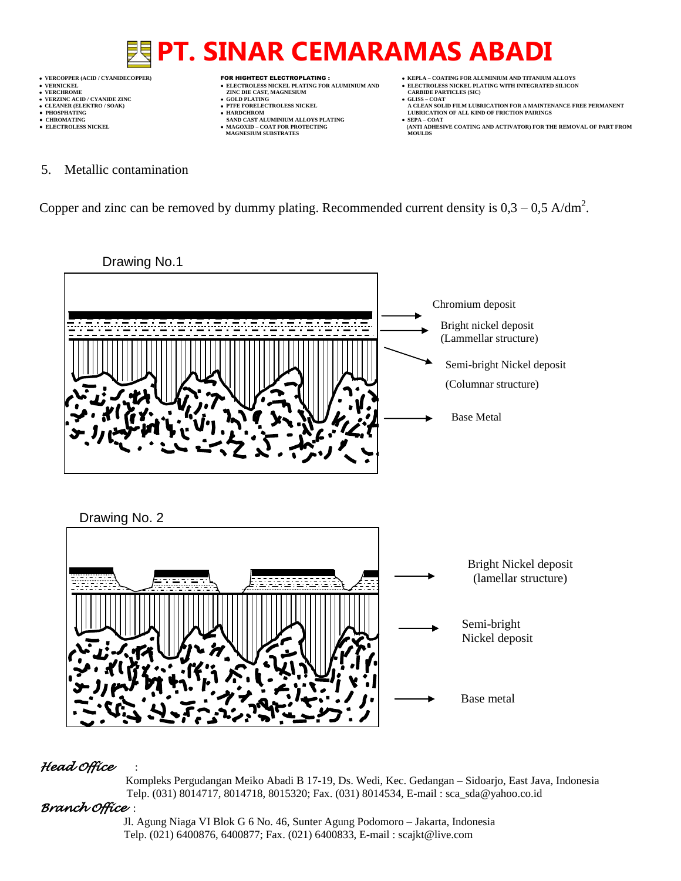

 **VERCOPPER (ACID / CYANIDECOPPER)** FOR HIGHTECT ELECTROPLATING :  **KEPLA – COATING FOR ALUMINIUM AND TITANIUM ALLOYS VERNICKEL ELECTROLESS NICKEL PLATING FOR ALUMINIUM AND ELECTROLESS NICKEL PLATING WITH INTEGRATED SILICON VERCHROME (ACD/CTANDECOTTER)**<br> **VERCHROME CAST, MAGNESIUM CARBIDE PARTICLES (SICKEL PLATING FOR ALUMINIUM AND <b>CARBIDE PARTICLES (SICKEL PLATING FOR ALUMINIUM AND CARBIDE PARTICLES (SICKEL PLATING FOR ALUMINIUM AND**

- 
- **v GOLD PLATING • PTFE FORELECTROLESS NICKEL**
- 
- **● CHROMATING SAND CAST ALUMINIUM ALLOYS PLATING SEPA – COAT MAGNESIUM SUBSTRATES MOULDS**
- -
- **CLEANER (ELEKTRO / SOAK) PTFE FORELECTROLESS NICKEL A CLEAN SOLID FILM LUBRICATION FOR A MAINTENANCE FREE PERMANENT**
- **PHOSPHATING HARDCHROM LUBRICATION OF ALL KIND OF FRICTION PAIRINGS ● ELECTROLESS NICKEL MAGOXID – COAT FOR PROTECTING (ANTI ADHESIVE COATING AND ACTIVATOR) FOR THE REMOVAL OF PART FROM**
- 5. Metallic contamination

Copper and zinc can be removed by dummy plating. Recommended current density is  $0.3 - 0.5$  A/dm<sup>2</sup>.



# *Head Office* :

 Kompleks Pergudangan Meiko Abadi B 17-19, Ds. Wedi, Kec. Gedangan – Sidoarjo, East Java, Indonesia Telp. (031) 8014717, 8014718, 8015320; Fax. (031) 8014534, E-mail : sca\_sda@yahoo.co.id

# *Branch Office* :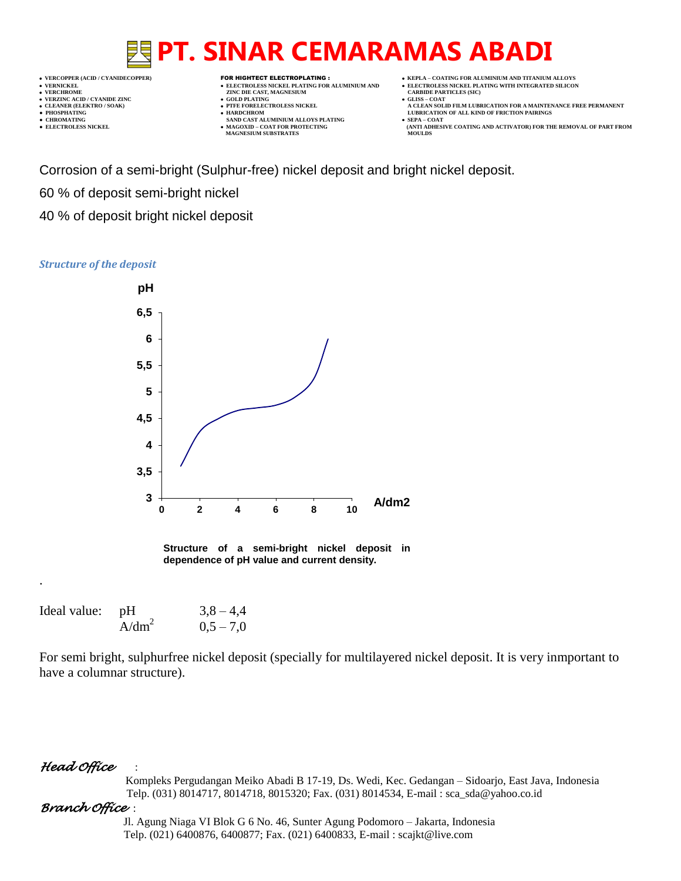- 
- 
- 

- **VERT ASSESSED ZINC DIE CAST, MAGNESIUM CARBIDE PARTING (SOLD PLATING CARBIDE PARTICLES)**
- **VERZINC ACID / CYANIDE ZINC GOLD PLATING GLISS – COAT**
	-
- **● CHROMATING SAND CAST ALUMINIUM ALLOYS PLATING SEPA – COAT MAGNESIUM SUBSTRATES**
- **VERCOPPER (ACID / CYANIDECOPPER)** FOR HIGHTECT ELECTROPLATING :  **KEPLA – COATING FOR ALUMINIUM AND TITANIUM ALLOYS**
- **VERNICKEL ELECTROLESS NICKEL PLATING FOR ALUMINIUM AND ELECTROLESS NICKEL PLATING WITH INTEGRATED SILICON**
	-
- **CLEANER (ELEKTRO / SOAK) PTFE FORELECTROLESS NICKEL A CLEAN SOLID FILM LUBRICATION FOR A MAINTENANCE FREE PERMANENT ● PHOSPHATING HARDCHROM LUBRICATION OF ALL KIND OF FRICTION PAIRINGS** 
	- **● ELECTROLESS NICKEL MAGOXID – COAT FOR PROTECTING (ANTI ADHESIVE COATING AND ACTIVATOR) FOR THE REMOVAL OF PART FROM**

Corrosion of a semi-bright (Sulphur-free) nickel deposit and bright nickel deposit.

60 % of deposit semi-bright nickel

40 % of deposit bright nickel deposit

### *Structure of the deposit*



**Structure of a semi-bright nickel deposit in dependence of pH value and current density.**

| Ideal value: pH |                   | $3,8 - 4,4$ |
|-----------------|-------------------|-------------|
|                 | A/dm <sup>2</sup> | $0.5 - 7.0$ |

For semi bright, sulphurfree nickel deposit (specially for multilayered nickel deposit. It is very inmportant to have a columnar structure).

# *Head Office* :

.

 Kompleks Pergudangan Meiko Abadi B 17-19, Ds. Wedi, Kec. Gedangan – Sidoarjo, East Java, Indonesia Telp. (031) 8014717, 8014718, 8015320; Fax. (031) 8014534, E-mail : sca\_sda@yahoo.co.id

# *Branch Office* :